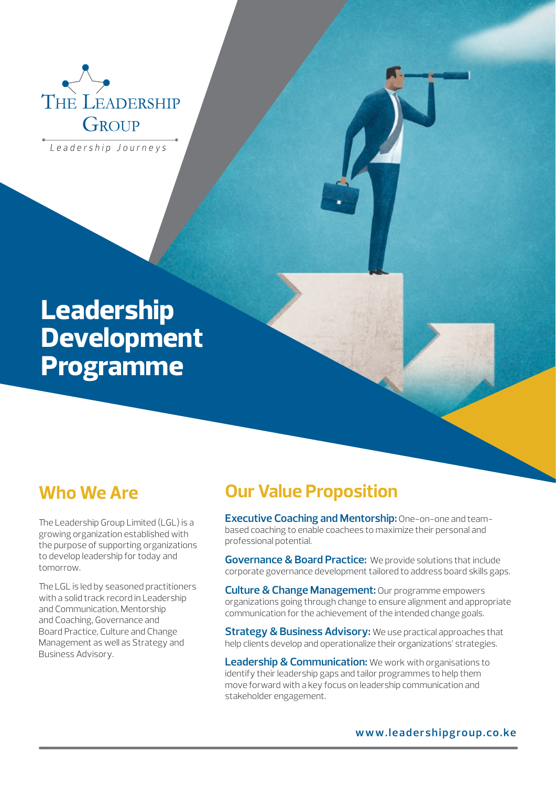

Leadership Journeys

# **Leadership Development Programme**

## **Who We Are**

The Leadership Group Limited (LGL) is a growing organization established with the purpose of supporting organizations to develop leadership for today and tomorrow.

The LGL is led by seasoned practitioners with a solid track record in Leadership and Communication, Mentorship and Coaching, Governance and Board Practice, Culture and Change Management as well as Strategy and Business Advisory.

## **Our Value Proposition**

**Executive Coaching and Mentorship:** One-on-one and teambased coaching to enable coachees to maximize their personal and professional potential.

**Governance & Board Practice:** We provide solutions that include corporate governance development tailored to address board skills gaps.

**Culture & Change Management:** Our programme empowers organizations going through change to ensure alignment and appropriate communication for the achievement of the intended change goals.

**Strategy & Business Advisory:** We use practical approaches that help clients develop and operationalize their organizations' strategies.

**Leadership & Communication:** We work with organisations to identify their leadership gaps and tailor programmes to help them move forward with a key focus on leadership communication and stakeholder engagement.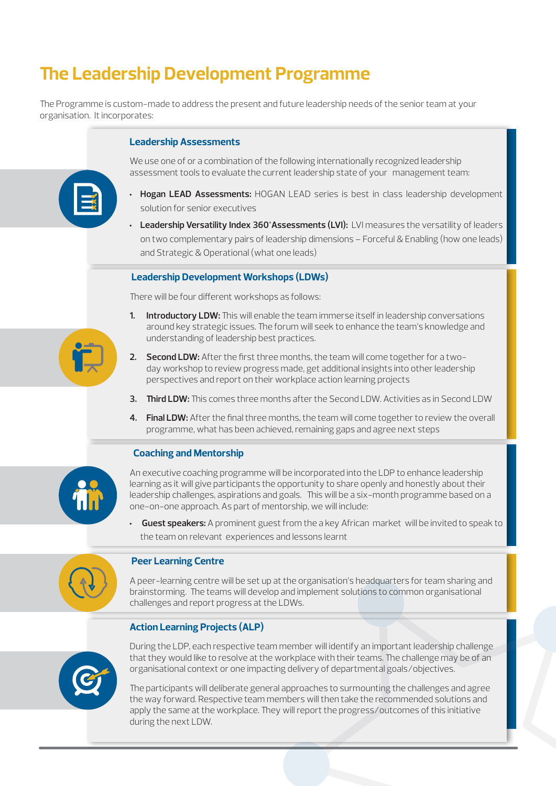## **The Leadership Development Programme**

The Programme is custom-made to address the present and future leadership needs of the senior team at your organisation. It incorporates:

### **Leadership Assessments**



We use one of or a combination of the following internationally recognized leadership assessment tools to evaluate the current leadership state of your management team:

- **Hogan LEAD Assessments:** HOGAN LEAD series is best in class leadership development solution for senior executives
- **Leadership Versatility Index 360°Assessments (LVI):** LVI measures the versatility of leaders on two complementary pairs of leadership dimensions – Forceful & Enabling (how one leads) and Strategic & Operational (what one leads)

### **Leadership Development Workshops (LDWs)**

There will be four different workshops as follows:

- **1. Introductory LDW:** This will enable the team immerse itself in leadership conversations around key strategic issues. The forum will seek to enhance the team's knowledge and understanding of leadership best practices.
- **2. Second LDW:** After the first three months, the team will come together for a twoday workshop to review progress made, get additional insights into other leadership perspectives and report on their workplace action learning projects
- **3. Third LDW:** This comes three months after the Second LDW. Activities as in Second LDW
- **4. Final LDW:** After the final three months, the team will come together to review the overall programme, what has been achieved, remaining gaps and agree next steps

### **Coaching and Mentorship**



An executive coaching programme will be incorporated into the LDP to enhance leadership learning as it will give participants the opportunity to share openly and honestly about their leadership challenges, aspirations and goals. This will be a six-month programme based on a one-on-one approach. As part of mentorship, we will include:

• **Guest speakers:** A prominent guest from the a key African market will be invited to speak to the team on relevant experiences and lessons learnt

### **Peer Learning Centre**

A peer-learning centre will be set up at the organisation's headquarters for team sharing and brainstorming. The teams will develop and implement solutions to common organisational challenges and report progress at the LDWs.

### **Action Learning Projects (ALP)**



During the LDP, each respective team member will identify an important leadership challenge that they would like to resolve at the workplace with their teams. The challenge may be of an organisational context or one impacting delivery of departmental goals/objectives.

The participants will deliberate general approaches to surmounting the challenges and agree the way forward. Respective team members will then take the recommended solutions and apply the same at the workplace. They will report the progress/outcomes of this initiative during the next LDW.